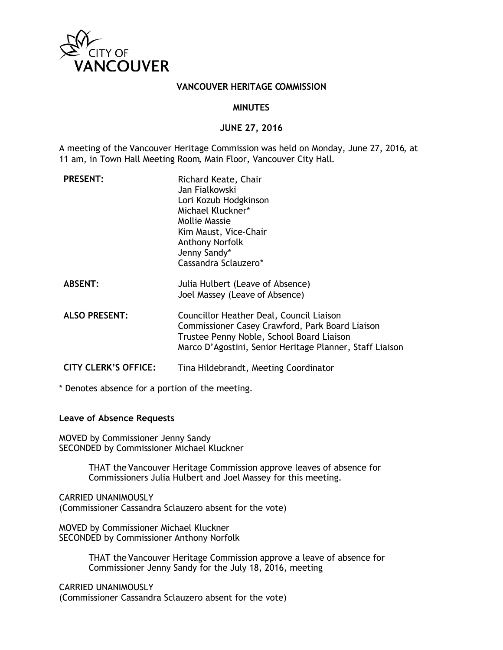

## **VANCOUVER HERITAGE COMMISSION**

#### **MINUTES**

## **JUNE 27, 2016**

A meeting of the Vancouver Heritage Commission was held on Monday, June 27, 2016, at 11 am, in Town Hall Meeting Room, Main Floor, Vancouver City Hall.

| <b>PRESENT:</b>             | Richard Keate, Chair<br>Jan Fialkowski<br>Lori Kozub Hodgkinson<br>Michael Kluckner*<br>Mollie Massie<br>Kim Maust, Vice-Chair<br><b>Anthony Norfolk</b><br>Jenny Sandy*<br>Cassandra Sclauzero*     |
|-----------------------------|------------------------------------------------------------------------------------------------------------------------------------------------------------------------------------------------------|
| <b>ABSENT:</b>              | Julia Hulbert (Leave of Absence)<br>Joel Massey (Leave of Absence)                                                                                                                                   |
| <b>ALSO PRESENT:</b>        | Councillor Heather Deal, Council Liaison<br>Commissioner Casey Crawford, Park Board Liaison<br>Trustee Penny Noble, School Board Liaison<br>Marco D'Agostini, Senior Heritage Planner, Staff Liaison |
| <b>CITY CLERK'S OFFICE:</b> | Tina Hildebrandt, Meeting Coordinator                                                                                                                                                                |

\* Denotes absence for a portion of the meeting.

## **Leave of Absence Requests**

MOVED by Commissioner Jenny Sandy SECONDED by Commissioner Michael Kluckner

> THAT the Vancouver Heritage Commission approve leaves of absence for Commissioners Julia Hulbert and Joel Massey for this meeting.

CARRIED UNANIMOUSLY (Commissioner Cassandra Sclauzero absent for the vote)

MOVED by Commissioner Michael Kluckner SECONDED by Commissioner Anthony Norfolk

> THAT the Vancouver Heritage Commission approve a leave of absence for Commissioner Jenny Sandy for the July 18, 2016, meeting

CARRIED UNANIMOUSLY (Commissioner Cassandra Sclauzero absent for the vote)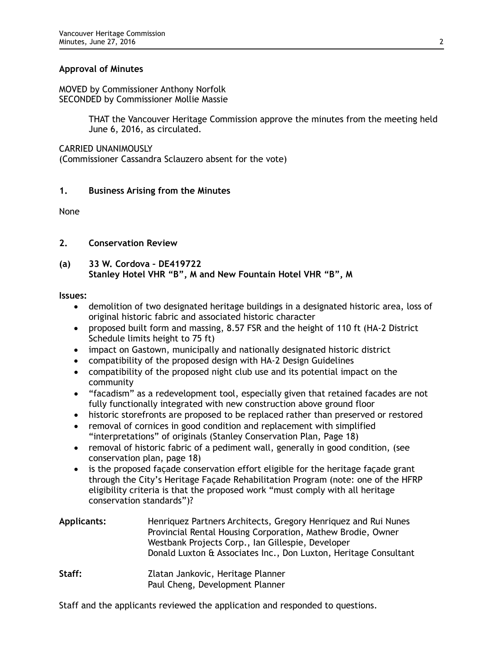# **Approval of Minutes**

MOVED by Commissioner Anthony Norfolk SECONDED by Commissioner Mollie Massie

> THAT the Vancouver Heritage Commission approve the minutes from the meeting held June 6, 2016, as circulated.

CARRIED UNANIMOUSLY

(Commissioner Cassandra Sclauzero absent for the vote)

# **1. Business Arising from the Minutes**

None

# **2. Conservation Review**

# **(a) 33 W. Cordova – DE419722 Stanley Hotel VHR "B", M and New Fountain Hotel VHR "B", M**

## **Issues:**

- demolition of two designated heritage buildings in a designated historic area, loss of original historic fabric and associated historic character
- proposed built form and massing, 8.57 FSR and the height of 110 ft (HA-2 District Schedule limits height to 75 ft)
- impact on Gastown, municipally and nationally designated historic district
- compatibility of the proposed design with HA-2 Design Guidelines
- compatibility of the proposed night club use and its potential impact on the community
- "facadism" as a redevelopment tool, especially given that retained facades are not fully functionally integrated with new construction above ground floor
- historic storefronts are proposed to be replaced rather than preserved or restored
- removal of cornices in good condition and replacement with simplified "interpretations" of originals (Stanley Conservation Plan, Page 18)
- removal of historic fabric of a pediment wall, generally in good condition, (see conservation plan, page 18)
- is the proposed façade conservation effort eligible for the heritage façade grant through the City's Heritage Façade Rehabilitation Program (note: one of the HFRP eligibility criteria is that the proposed work "must comply with all heritage conservation standards")?

| <b>Applicants:</b> | Henriquez Partners Architects, Gregory Henriquez and Rui Nunes<br>Provincial Rental Housing Corporation, Mathew Brodie, Owner<br>Westbank Projects Corp., Ian Gillespie, Developer<br>Donald Luxton & Associates Inc., Don Luxton, Heritage Consultant |
|--------------------|--------------------------------------------------------------------------------------------------------------------------------------------------------------------------------------------------------------------------------------------------------|
| Staff:             | Zlatan Jankovic, Heritage Planner                                                                                                                                                                                                                      |

Paul Cheng, Development Planner

Staff and the applicants reviewed the application and responded to questions.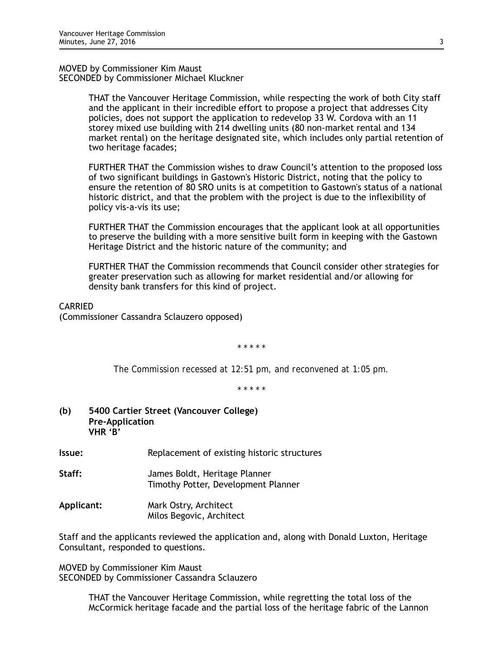MOVED by Commissioner Kim Maust SECONDED by Commissioner Michael Kluckner

> THAT the Vancouver Heritage Commission, while respecting the work of both City staff and the applicant in their incredible effort to propose a project that addresses City policies, does not support the application to redevelop 33 W. Cordova with an 11 storey mixed use building with 214 dwelling units (80 non-market rental and 134 market rental) on the heritage designated site, which includes only partial retention of two heritage facades;

> FURTHER THAT the Commission wishes to draw Council's attention to the proposed loss of two significant buildings in Gastown's Historic District, noting that the policy to ensure the retention of 80 SRO units is at competition to Gastown's status of a national historic district, and that the problem with the project is due to the inflexibility of policy vis-a-vis its use;

> FURTHER THAT the Commission encourages that the applicant look at all opportunities to preserve the building with a more sensitive built form in keeping with the Gastown Heritage District and the historic nature of the community; and

> FURTHER THAT the Commission recommends that Council consider other strategies for greater preservation such as allowing for market residential and/or allowing for density bank transfers for this kind of project.

CARRIED

(Commissioner Cassandra Sclauzero opposed)

*\* \* \* \* \**

*The Commission recessed at 12:51 pm, and reconvened at 1:05 pm.* 

*\* \* \* \* \**

- **(b) 5400 Cartier Street (Vancouver College) Pre-Application VHR 'B'**
- **Issue:** Replacement of existing historic structures
- **Staff:** James Boldt, Heritage Planner Timothy Potter, Development Planner
- **Applicant:** Mark Ostry, Architect Milos Begovic, Architect

Staff and the applicants reviewed the application and, along with Donald Luxton, Heritage Consultant, responded to questions.

MOVED by Commissioner Kim Maust SECONDED by Commissioner Cassandra Sclauzero

> THAT the Vancouver Heritage Commission, while regretting the total loss of the McCormick heritage facade and the partial loss of the heritage fabric of the Lannon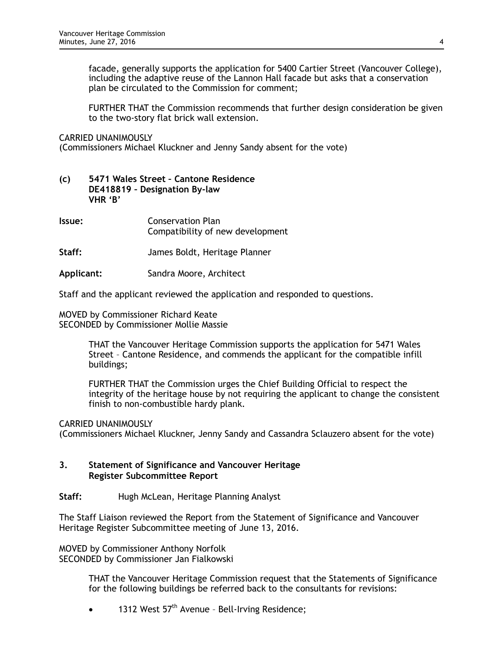facade, generally supports the application for 5400 Cartier Street (Vancouver College), including the adaptive reuse of the Lannon Hall facade but asks that a conservation plan be circulated to the Commission for comment;

FURTHER THAT the Commission recommends that further design consideration be given to the two-story flat brick wall extension.

CARRIED UNANIMOUSLY

(Commissioners Michael Kluckner and Jenny Sandy absent for the vote)

## **(c) 5471 Wales Street – Cantone Residence DE418819 – Designation By-law VHR 'B'**

- **Issue:** Conservation Plan Compatibility of new development
- **Staff:** James Boldt, Heritage Planner

**Applicant:** Sandra Moore, Architect

Staff and the applicant reviewed the application and responded to questions.

MOVED by Commissioner Richard Keate SECONDED by Commissioner Mollie Massie

> THAT the Vancouver Heritage Commission supports the application for 5471 Wales Street – Cantone Residence, and commends the applicant for the compatible infill buildings;

FURTHER THAT the Commission urges the Chief Building Official to respect the integrity of the heritage house by not requiring the applicant to change the consistent finish to non-combustible hardy plank.

CARRIED UNANIMOUSLY

(Commissioners Michael Kluckner, Jenny Sandy and Cassandra Sclauzero absent for the vote)

# **3. Statement of Significance and Vancouver Heritage Register Subcommittee Report**

## **Staff:** Hugh McLean, Heritage Planning Analyst

The Staff Liaison reviewed the Report from the Statement of Significance and Vancouver Heritage Register Subcommittee meeting of June 13, 2016.

MOVED by Commissioner Anthony Norfolk SECONDED by Commissioner Jan Fialkowski

> THAT the Vancouver Heritage Commission request that the Statements of Significance for the following buildings be referred back to the consultants for revisions:

1312 West 57<sup>th</sup> Avenue - Bell-Irving Residence;